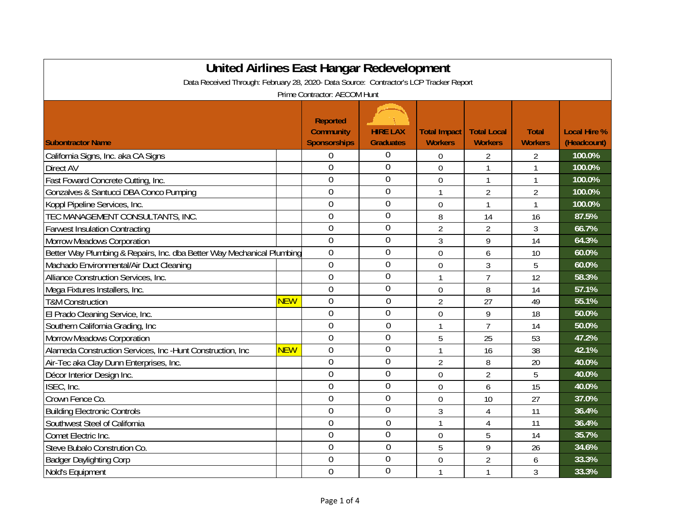| United Airlines East Hangar Redevelopment                                              |            |                                                            |                                     |                                       |                                      |                                |                                    |  |
|----------------------------------------------------------------------------------------|------------|------------------------------------------------------------|-------------------------------------|---------------------------------------|--------------------------------------|--------------------------------|------------------------------------|--|
| Data Received Through: February 28, 2020- Data Source: Contractor's LCP Tracker Report |            |                                                            |                                     |                                       |                                      |                                |                                    |  |
| Prime Contractor: AECOM Hunt                                                           |            |                                                            |                                     |                                       |                                      |                                |                                    |  |
| <b>Subontractor Name</b>                                                               |            | <b>Reported</b><br><b>Community</b><br><b>Sponsorships</b> | <b>HIRE LAX</b><br><b>Graduates</b> | <b>Total Impact</b><br><b>Workers</b> | <b>Total Local</b><br><b>Workers</b> | <b>Total</b><br><b>Workers</b> | <b>Local Hire %</b><br>(Headcount) |  |
| California Signs, Inc. aka CA Signs                                                    |            | $\overline{0}$                                             | 0                                   | 0                                     | $\overline{2}$                       | $\overline{2}$                 | 100.0%                             |  |
| Direct AV                                                                              |            | 0                                                          | $\overline{0}$                      | 0                                     | 1                                    | $\mathbf{1}$                   | 100.0%                             |  |
| Fast Foward Concrete Cutting, Inc.                                                     |            | $\mathbf 0$                                                | 0                                   | $\mathbf 0$                           | $\mathbf{1}$                         | $\mathbf{1}$                   | 100.0%                             |  |
| Gonzalves & Santucci DBA Conco Pumping                                                 |            | $\overline{0}$                                             | 0                                   | 1                                     | $\overline{2}$                       | $\overline{2}$                 | 100.0%                             |  |
| Koppl Pipeline Services, Inc.                                                          |            | 0                                                          | 0                                   | 0                                     | 1                                    | $\mathbf{1}$                   | 100.0%                             |  |
| TEC MANAGEMENT CONSULTANTS, INC.                                                       |            | $\overline{0}$                                             | $\overline{0}$                      | 8                                     | 14                                   | 16                             | 87.5%                              |  |
| <b>Farwest Insulation Contracting</b>                                                  |            | $\overline{0}$                                             | 0                                   | $\overline{2}$                        | 2                                    | 3                              | 66.7%                              |  |
| <b>Morrow Meadows Corporation</b>                                                      |            | $\overline{0}$                                             | $\overline{0}$                      | 3                                     | 9                                    | 14                             | 64.3%                              |  |
| Better Way Plumbing & Repairs, Inc. dba Better Way Mechanical Plumbing                 |            | $\overline{0}$                                             | $\overline{0}$                      | 0                                     | 6                                    | 10                             | 60.0%                              |  |
| Machado Environmental/Air Duct Cleaning                                                |            | $\overline{0}$                                             | 0                                   | 0                                     | 3                                    | 5                              | 60.0%                              |  |
| Alliance Construction Services, Inc.                                                   |            | $\overline{0}$                                             | 0                                   | $\mathbf{1}$                          | $\overline{7}$                       | 12                             | 58.3%                              |  |
| Mega Fixtures Installers, Inc.                                                         |            | $\overline{0}$                                             | 0                                   | $\overline{0}$                        | 8                                    | 14                             | 57.1%                              |  |
| <b>T&amp;M Construction</b>                                                            | <b>NEW</b> | $\mathbf 0$                                                | $\mathbf 0$                         | $\overline{2}$                        | 27                                   | 49                             | 55.1%                              |  |
| El Prado Cleaning Service, Inc.                                                        |            | $\mathbf 0$                                                | $\overline{0}$                      | $\mathbf 0$                           | 9                                    | 18                             | 50.0%                              |  |
| Southern California Grading, Inc.                                                      |            | 0                                                          | $\overline{0}$                      | $\mathbf{1}$                          | $\overline{7}$                       | 14                             | 50.0%                              |  |
| <b>Morrow Meadows Corporation</b>                                                      |            | $\overline{0}$                                             | $\overline{0}$                      | 5                                     | 25                                   | 53                             | 47.2%                              |  |
| Alameda Construction Services, Inc -Hunt Construction, Inc                             | <b>NEW</b> | $\overline{0}$                                             | 0                                   | 1                                     | 16                                   | 38                             | 42.1%                              |  |
| Air-Tec aka Clay Dunn Enterprises, Inc.                                                |            | $\overline{0}$                                             | $\overline{0}$                      | $\overline{2}$                        | 8                                    | 20                             | 40.0%                              |  |
| Décor Interior Design Inc.                                                             |            | $\overline{0}$                                             | 0                                   | $\overline{0}$                        | $\overline{2}$                       | 5                              | 40.0%                              |  |
| ISEC, Inc.                                                                             |            | $\overline{0}$                                             | 0                                   | 0                                     | 6                                    | 15                             | 40.0%                              |  |
| Crown Fence Co.                                                                        |            | $\overline{0}$                                             | 0                                   | $\mathbf 0$                           | 10                                   | 27                             | 37.0%                              |  |
| <b>Building Electronic Controls</b>                                                    |            | $\overline{0}$                                             | 0                                   | 3                                     | 4                                    | 11                             | 36.4%                              |  |
| Southwest Steel of California                                                          |            | $\overline{0}$                                             | $\mathbf 0$                         | $\mathbf{1}$                          | 4                                    | 11                             | 36.4%                              |  |
| Comet Electric Inc.                                                                    |            | 0                                                          | 0                                   | 0                                     | 5                                    | 14                             | 35.7%                              |  |
| Steve Bubalo Constrution Co.                                                           |            | $\overline{0}$                                             | $\mathbf 0$                         | 5                                     | 9                                    | 26                             | 34.6%                              |  |
| <b>Badger Daylighting Corp</b>                                                         |            | $\overline{0}$                                             | 0                                   | 0                                     | $\overline{2}$                       | 6                              | 33.3%                              |  |
| Nold's Equipment                                                                       |            | $\overline{0}$                                             | 0                                   | 1                                     | 1                                    | 3                              | 33.3%                              |  |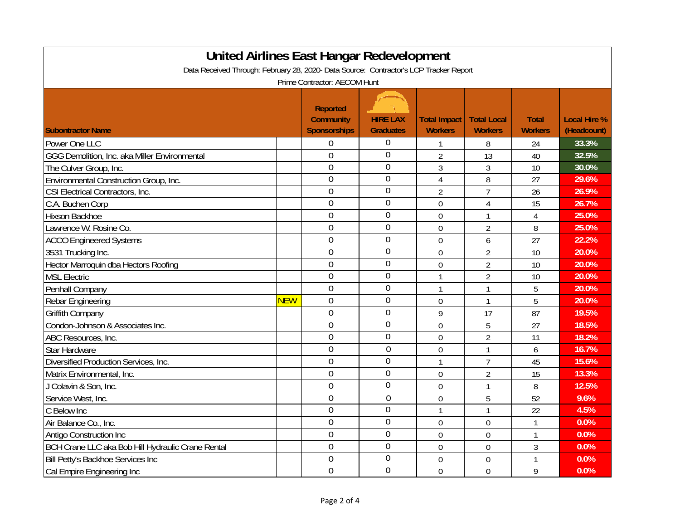| <b>United Airlines East Hangar Redevelopment</b>                                       |            |                     |                  |                     |                    |                |                     |  |
|----------------------------------------------------------------------------------------|------------|---------------------|------------------|---------------------|--------------------|----------------|---------------------|--|
| Data Received Through: February 28, 2020- Data Source: Contractor's LCP Tracker Report |            |                     |                  |                     |                    |                |                     |  |
| Prime Contractor: AECOM Hunt                                                           |            |                     |                  |                     |                    |                |                     |  |
|                                                                                        |            |                     |                  |                     |                    |                |                     |  |
|                                                                                        |            | <b>Reported</b>     |                  |                     |                    |                |                     |  |
|                                                                                        |            | <b>Community</b>    | <b>HIRE LAX</b>  | <b>Total Impact</b> | <b>Total Local</b> | <b>Total</b>   | <b>Local Hire %</b> |  |
| <b>Subontractor Name</b>                                                               |            | <b>Sponsorships</b> | <b>Graduates</b> | <b>Workers</b>      | <b>Workers</b>     | <b>Workers</b> | (Headcount)         |  |
| Power One LLC                                                                          |            | $\overline{0}$      | $\mathbf 0$      | 1                   | 8                  | 24             | 33.3%               |  |
| GGG Demolition, Inc. aka Miller Environmental                                          |            | $\overline{0}$      | $\overline{0}$   | $\overline{2}$      | 13                 | 40             | 32.5%               |  |
| The Culver Group, Inc.                                                                 |            | $\overline{0}$      | $\overline{0}$   | 3                   | 3                  | 10             | 30.0%               |  |
| Environmental Construction Group, Inc.                                                 |            | $\overline{0}$      | $\theta$         | $\overline{4}$      | 8                  | 27             | 29.6%               |  |
| CSI Electrical Contractors, Inc.                                                       |            | $\overline{0}$      | $\mathbf 0$      | $\overline{2}$      | $\overline{7}$     | 26             | 26.9%               |  |
| C.A. Buchen Corp                                                                       |            | $\overline{0}$      | $\mathbf 0$      | 0                   | $\overline{4}$     | 15             | 26.7%               |  |
| <b>Hixson Backhoe</b>                                                                  |            | $\overline{0}$      | $\overline{0}$   | $\mathbf 0$         | 1                  | 4              | 25.0%               |  |
| Lawrence W. Rosine Co.                                                                 |            | $\overline{0}$      | $\mathbf 0$      | $\overline{0}$      | $\overline{2}$     | 8              | 25.0%               |  |
| <b>ACCO Engineered Systems</b>                                                         |            | $\overline{0}$      | $\overline{0}$   | $\overline{0}$      | 6                  | 27             | 22.2%               |  |
| 3531 Trucking Inc.                                                                     |            | $\overline{0}$      | $\overline{0}$   | $\overline{0}$      | $\overline{2}$     | 10             | 20.0%               |  |
| Hector Marroquin dba Hectors Roofing                                                   |            | $\overline{0}$      | $\overline{0}$   | $\overline{0}$      | $\overline{2}$     | 10             | 20.0%               |  |
| <b>MSL Electric</b>                                                                    |            | $\overline{0}$      | $\overline{0}$   | 1                   | $\overline{2}$     | 10             | 20.0%               |  |
| Penhall Company                                                                        |            | $\overline{0}$      | $\overline{0}$   | 1                   | 1                  | 5              | 20.0%               |  |
| Rebar Engineering                                                                      | <b>NEW</b> | $\overline{0}$      | $\mathbf 0$      | $\mathbf 0$         | 1                  | 5              | 20.0%               |  |
| <b>Griffith Company</b>                                                                |            | $\overline{0}$      | $\overline{0}$   | 9                   | 17                 | 87             | 19.5%               |  |
| Condon-Johnson & Associates Inc.                                                       |            | $\overline{0}$      | $\mathbf 0$      | $\mathbf 0$         | 5                  | 27             | 18.5%               |  |
| ABC Resources, Inc.                                                                    |            | $\overline{0}$      | $\mathbf 0$      | $\overline{0}$      | $\overline{2}$     | 11             | 18.2%               |  |
| <b>Star Hardware</b>                                                                   |            | $\mathbf 0$         | $\overline{0}$   | $\mathbf 0$         | 1                  | 6              | 16.7%               |  |
| Diversified Production Services, Inc.                                                  |            | $\overline{0}$      | $\overline{0}$   | 1                   | $\overline{7}$     | 45             | 15.6%               |  |
| Matrix Environmental, Inc.                                                             |            | $\overline{0}$      | $\overline{0}$   | $\overline{0}$      | $\overline{2}$     | 15             | 13.3%               |  |
| J Colavin & Son, Inc.                                                                  |            | $\overline{0}$      | $\overline{0}$   | $\overline{0}$      | 1                  | 8              | 12.5%               |  |
| Service West, Inc.                                                                     |            | $\overline{0}$      | $\overline{0}$   | $\mathbf 0$         | 5                  | 52             | 9.6%                |  |
| C Below Inc                                                                            |            | $\overline{0}$      | $\mathbf 0$      | 1                   | 1                  | 22             | 4.5%                |  |
| Air Balance Co., Inc.                                                                  |            | $\overline{0}$      | $\mathbf 0$      | $\overline{0}$      | $\mathbf 0$        | $\mathbf{1}$   | 0.0%                |  |
| <b>Antigo Construction Inc.</b>                                                        |            | $\mathbf 0$         | $\mathbf 0$      | $\mathbf 0$         | $\mathbf 0$        | $\mathbf{1}$   | 0.0%                |  |
| BCH Crane LLC aka Bob Hill Hydraulic Crane Rental                                      |            | $\overline{0}$      | $\mathbf 0$      | $\mathbf 0$         | $\mathbf 0$        | 3              | 0.0%                |  |
| Bill Petty's Backhoe Services Inc                                                      |            | $\mathbf 0$         | $\overline{0}$   | $\mathbf 0$         | $\boldsymbol{0}$   | 1              | 0.0%                |  |
| Cal Empire Engineering Inc                                                             |            | $\overline{0}$      | $\overline{0}$   | $\overline{0}$      | $\overline{0}$     | 9              | 0.0%                |  |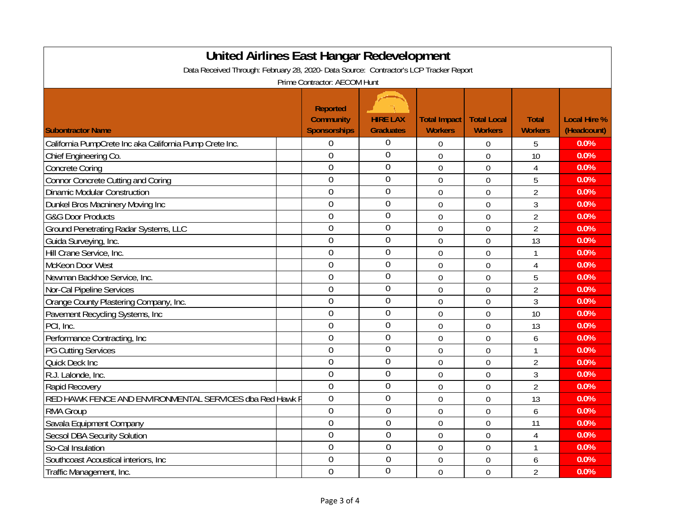| <b>United Airlines East Hangar Redevelopment</b>                                                                       |                                                            |                                     |                                       |                                      |                                |                                    |  |  |
|------------------------------------------------------------------------------------------------------------------------|------------------------------------------------------------|-------------------------------------|---------------------------------------|--------------------------------------|--------------------------------|------------------------------------|--|--|
| Data Received Through: February 28, 2020- Data Source: Contractor's LCP Tracker Report<br>Prime Contractor: AECOM Hunt |                                                            |                                     |                                       |                                      |                                |                                    |  |  |
| <b>Subontractor Name</b>                                                                                               | <b>Reported</b><br><b>Community</b><br><b>Sponsorships</b> | <b>HIRE LAX</b><br><b>Graduates</b> | <b>Total Impact</b><br><b>Workers</b> | <b>Total Local</b><br><b>Workers</b> | <b>Total</b><br><b>Workers</b> | <b>Local Hire %</b><br>(Headcount) |  |  |
| California PumpCrete Inc aka California Pump Crete Inc.                                                                | $\mathbf 0$                                                | $\overline{0}$                      | 0                                     | 0                                    | 5                              | 0.0%                               |  |  |
| Chief Engineering Co.                                                                                                  | $\overline{0}$                                             | $\overline{0}$                      | $\mathbf 0$                           | 0                                    | 10                             | 0.0%                               |  |  |
| <b>Concrete Coring</b>                                                                                                 | $\overline{0}$                                             | $\overline{0}$                      | $\mathbf 0$                           | $\mathbf 0$                          | 4                              | 0.0%                               |  |  |
| <b>Connor Concrete Cutting and Coring</b>                                                                              | $\overline{0}$                                             | $\overline{0}$                      | $\overline{0}$                        | $\overline{0}$                       | 5                              | 0.0%                               |  |  |
| <b>Dinamic Modular Construction</b>                                                                                    | $\overline{0}$                                             | $\overline{0}$                      | $\overline{0}$                        | $\overline{0}$                       | $\overline{2}$                 | 0.0%                               |  |  |
| Dunkel Bros Macninery Moving Inc                                                                                       | $\overline{0}$                                             | $\overline{0}$                      | 0                                     | $\overline{0}$                       | $\mathfrak{Z}$                 | 0.0%                               |  |  |
| <b>G&amp;G Door Products</b>                                                                                           | $\overline{0}$                                             | $\overline{0}$                      | $\overline{0}$                        | $\overline{0}$                       | $\overline{2}$                 | 0.0%                               |  |  |
| Ground Penetrating Radar Systems, LLC                                                                                  | $\overline{0}$                                             | $\overline{0}$                      | 0                                     | $\overline{0}$                       | $\overline{2}$                 | 0.0%                               |  |  |
| Guida Surveying, Inc.                                                                                                  | $\overline{0}$                                             | $\overline{0}$                      | 0                                     | $\theta$                             | 13                             | 0.0%                               |  |  |
| Hill Crane Service, Inc.                                                                                               | $\overline{0}$                                             | $\overline{0}$                      | 0                                     | $\overline{0}$                       | $\mathbf{1}$                   | 0.0%                               |  |  |
| McKeon Door West                                                                                                       | $\overline{0}$                                             | $\overline{0}$                      | 0                                     | 0                                    | 4                              | 0.0%                               |  |  |
| Newman Backhoe Service, Inc.                                                                                           | $\overline{0}$                                             | $\overline{0}$                      | $\mathbf 0$                           | $\overline{0}$                       | 5                              | 0.0%                               |  |  |
| Nor-Cal Pipeline Services                                                                                              | $\overline{0}$                                             | $\overline{0}$                      | $\mathbf 0$                           | $\mathbf 0$                          | $\overline{2}$                 | 0.0%                               |  |  |
| Orange County Plastering Company, Inc.                                                                                 | $\overline{0}$                                             | $\mathbf 0$                         | $\mathbf 0$                           | $\mathbf 0$                          | 3                              | 0.0%                               |  |  |
| Pavement Recycling Systems, Inc                                                                                        | $\overline{0}$                                             | $\overline{0}$                      | $\mathbf 0$                           | $\mathbf 0$                          | 10                             | 0.0%                               |  |  |
| PCI, Inc.                                                                                                              | $\overline{0}$                                             | $\overline{0}$                      | $\mathbf 0$                           | $\mathbf 0$                          | 13                             | 0.0%                               |  |  |
| Performance Contracting, Inc                                                                                           | $\overline{0}$                                             | $\overline{0}$                      | $\mathbf 0$                           | $\mathbf 0$                          | 6                              | 0.0%                               |  |  |
| <b>PG Cutting Services</b>                                                                                             | $\overline{0}$                                             | $\overline{0}$                      | $\mathbf 0$                           | $\mathbf 0$                          | $\mathbf{1}$                   | 0.0%                               |  |  |
| Quick Deck Inc                                                                                                         | $\overline{0}$                                             | $\theta$                            | $\mathbf 0$                           | 0                                    | $\overline{2}$                 | 0.0%                               |  |  |
| R.J. Lalonde, Inc.                                                                                                     | $\overline{0}$                                             | $\overline{0}$                      | $\mathbf 0$                           | 0                                    | 3                              | 0.0%                               |  |  |
| <b>Rapid Recovery</b>                                                                                                  | $\overline{0}$                                             | $\overline{0}$                      | $\mathbf 0$                           | $\mathbf 0$                          | $\overline{2}$                 | 0.0%                               |  |  |
| RED HAWK FENCE AND ENVIRONMENTAL SERVICES dba Red Hawk F                                                               | $\overline{0}$                                             | $\overline{0}$                      | 0                                     | $\mathbf 0$                          | 13                             | 0.0%                               |  |  |
| <b>RMA Group</b>                                                                                                       | $\overline{0}$                                             | $\overline{0}$                      | $\mathbf 0$                           | $\mathbf 0$                          | 6                              | 0.0%                               |  |  |
| Savala Equipment Company                                                                                               | $\overline{0}$                                             | $\overline{0}$                      | $\overline{0}$                        | $\overline{0}$                       | 11                             | 0.0%                               |  |  |
| <b>Secsol DBA Security Solution</b>                                                                                    | $\overline{0}$                                             | $\overline{0}$                      | 0                                     | $\overline{0}$                       | 4                              | 0.0%                               |  |  |
| So-Cal Insulation                                                                                                      | $\overline{0}$                                             | $\overline{0}$                      | 0                                     | $\overline{0}$                       | 1                              | 0.0%                               |  |  |
| Southcoast Acoustical interiors, Inc.                                                                                  | $\overline{0}$                                             | $\overline{0}$                      | $\mathbf 0$                           | $\overline{0}$                       | 6                              | 0.0%                               |  |  |
| Traffic Management, Inc.                                                                                               | $\overline{0}$                                             | $\overline{0}$                      | 0                                     | $\overline{0}$                       | $\overline{2}$                 | 0.0%                               |  |  |